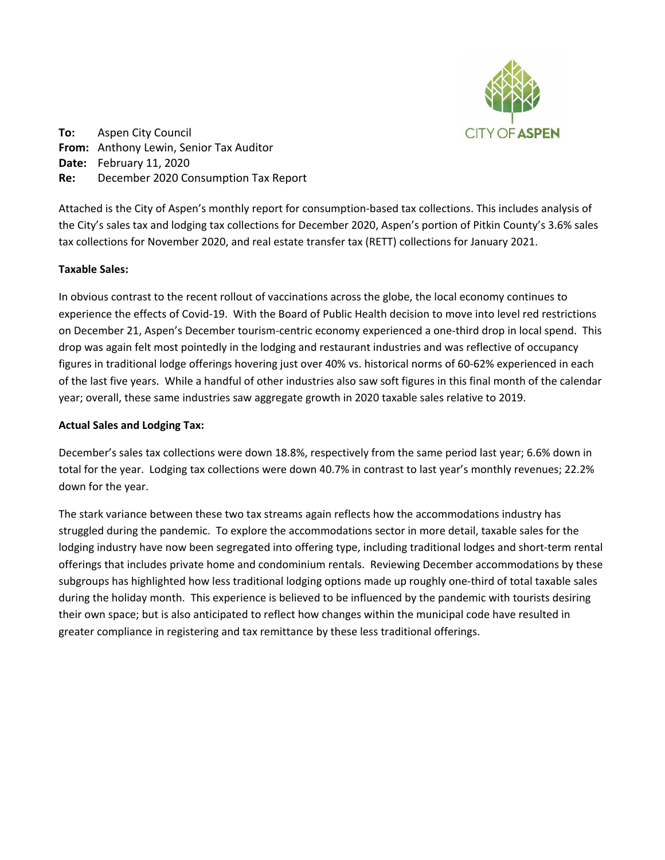

**To:** Aspen City Council **From:** Anthony Lewin, Senior Tax Auditor **Date:** February 11, 2020 **Re:** December 2020 Consumption Tax Report

Attached is the City of Aspen's monthly report for consumption-based tax collections. This includes analysis of the City's sales tax and lodging tax collections for December 2020, Aspen's portion of Pitkin County's 3.6% sales tax collections for November 2020, and real estate transfer tax (RETT) collections for January 2021.

# **Taxable Sales:**

In obvious contrast to the recent rollout of vaccinations across the globe, the local economy continues to experience the effects of Covid-19. With the Board of Public Health decision to move into level red restrictions on December 21, Aspen's December tourism-centric economy experienced a one-third drop in local spend. This drop was again felt most pointedly in the lodging and restaurant industries and was reflective of occupancy figures in traditional lodge offerings hovering just over 40% vs. historical norms of 60-62% experienced in each of the last five years. While a handful of other industries also saw soft figures in this final month of the calendar year; overall, these same industries saw aggregate growth in 2020 taxable sales relative to 2019.

## **Actual Sales and Lodging Tax:**

December's sales tax collections were down 18.8%, respectively from the same period last year; 6.6% down in total for the year. Lodging tax collections were down 40.7% in contrast to last year's monthly revenues; 22.2% down for the year.

The stark variance between these two tax streams again reflects how the accommodations industry has struggled during the pandemic. To explore the accommodations sector in more detail, taxable sales for the lodging industry have now been segregated into offering type, including traditional lodges and short-term rental offerings that includes private home and condominium rentals. Reviewing December accommodations by these subgroups has highlighted how less traditional lodging options made up roughly one-third of total taxable sales during the holiday month. This experience is believed to be influenced by the pandemic with tourists desiring their own space; but is also anticipated to reflect how changes within the municipal code have resulted in greater compliance in registering and tax remittance by these less traditional offerings.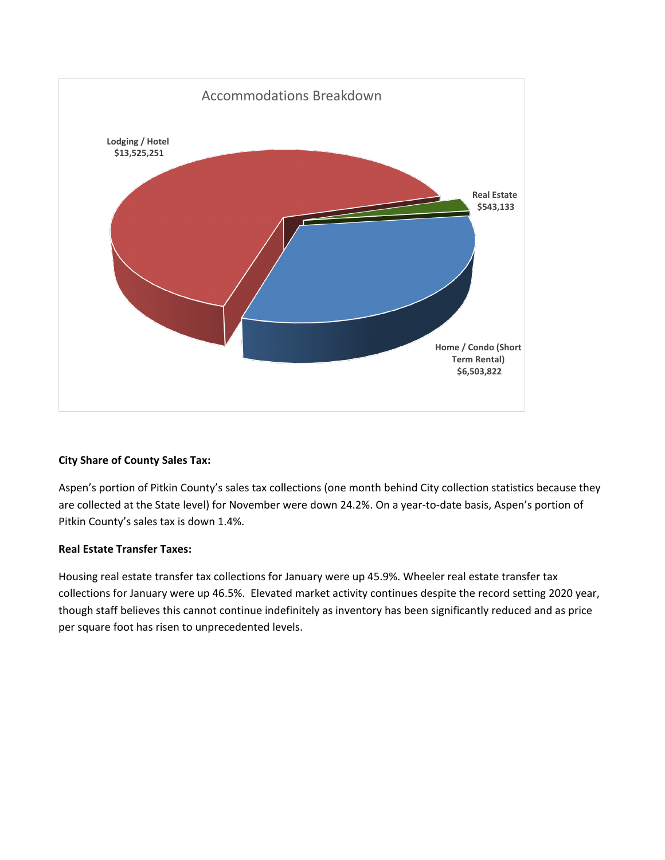

# **City Share of County Sales Tax:**

Aspen's portion of Pitkin County's sales tax collections (one month behind City collection statistics because they are collected at the State level) for November were down 24.2%. On a year-to-date basis, Aspen's portion of Pitkin County's sales tax is down 1.4%.

# **Real Estate Transfer Taxes:**

Housing real estate transfer tax collections for January were up 45.9%. Wheeler real estate transfer tax collections for January were up 46.5%. Elevated market activity continues despite the record setting 2020 year, though staff believes this cannot continue indefinitely as inventory has been significantly reduced and as price per square foot has risen to unprecedented levels.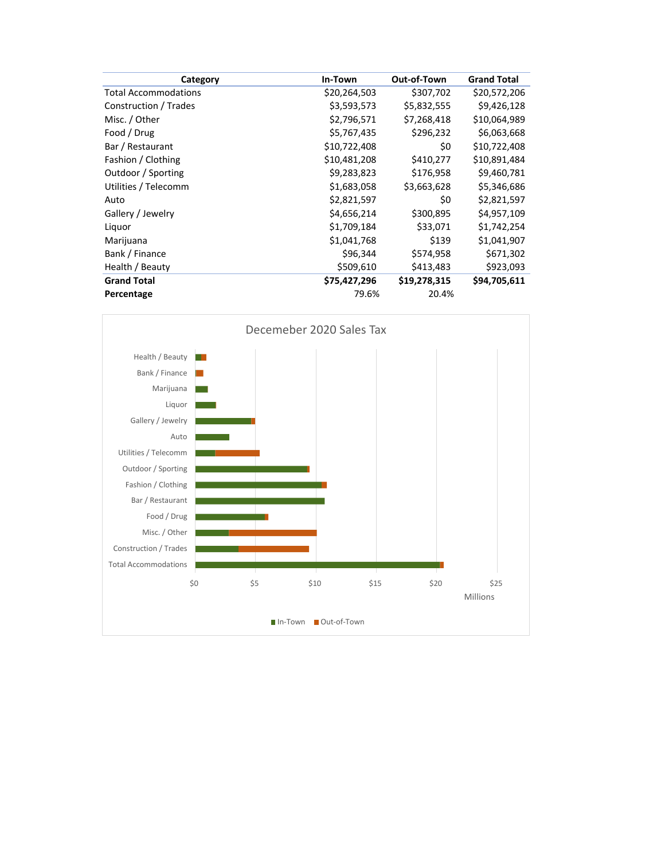| Category                    | In-Town      | Out-of-Town  | <b>Grand Total</b> |
|-----------------------------|--------------|--------------|--------------------|
| <b>Total Accommodations</b> | \$20,264,503 | \$307,702    | \$20,572,206       |
| Construction / Trades       | \$3,593,573  | \$5,832,555  | \$9,426,128        |
| Misc. / Other               | \$2,796,571  | \$7,268,418  | \$10,064,989       |
| Food / Drug                 | \$5,767,435  | \$296,232    | \$6,063,668        |
| Bar / Restaurant            | \$10,722,408 | \$0          | \$10,722,408       |
| Fashion / Clothing          | \$10,481,208 | \$410,277    | \$10,891,484       |
| Outdoor / Sporting          | \$9,283,823  | \$176,958    | \$9,460,781        |
| Utilities / Telecomm        | \$1,683,058  | \$3,663,628  | \$5,346,686        |
| Auto                        | \$2,821,597  | \$0          | \$2,821,597        |
| Gallery / Jewelry           | \$4,656,214  | \$300,895    | \$4,957,109        |
| Liquor                      | \$1,709,184  | \$33,071     | \$1,742,254        |
| Marijuana                   | \$1,041,768  | \$139        | \$1,041,907        |
| Bank / Finance              | \$96,344     | \$574,958    | \$671,302          |
| Health / Beauty             | \$509,610    | \$413,483    | \$923,093          |
| <b>Grand Total</b>          | \$75,427,296 | \$19,278,315 | \$94,705,611       |
| Percentage                  | 79.6%        | 20.4%        |                    |

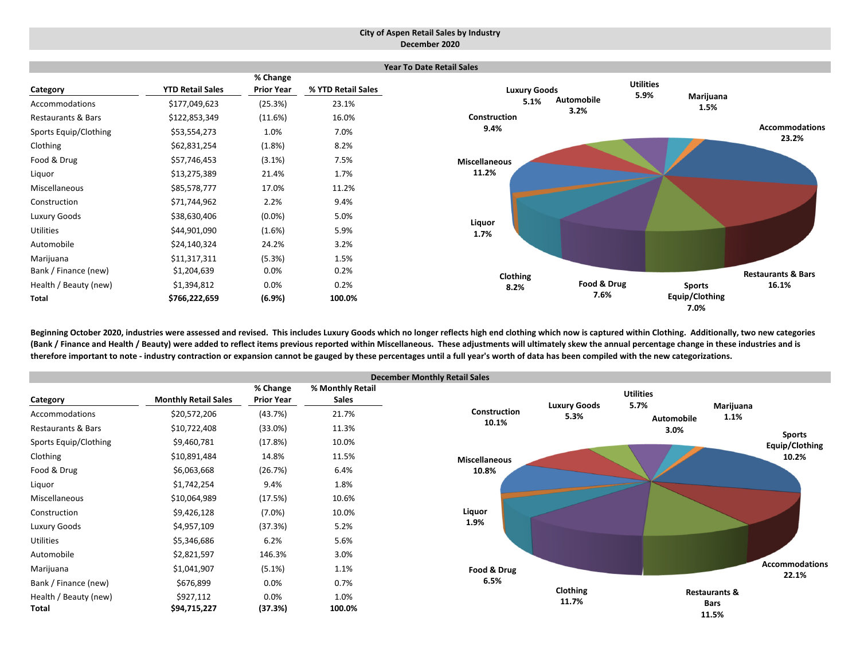#### **City of Aspen Retail Sales by Industry December 2020**



Beginning October 2020, industries were assessed and revised. This includes Luxury Goods which no longer reflects high end clothing which now is captured within Clothing. Additionally, two new categories (Bank / Finance and Health / Beauty) were added to reflect items previous reported within Miscellaneous. These adjustments will ultimately skew the annual percentage change in these industries and is therefore important to note - industry contraction or expansion cannot be gauged by these percentages until a full year's worth of data has been compiled with the new categorizations.

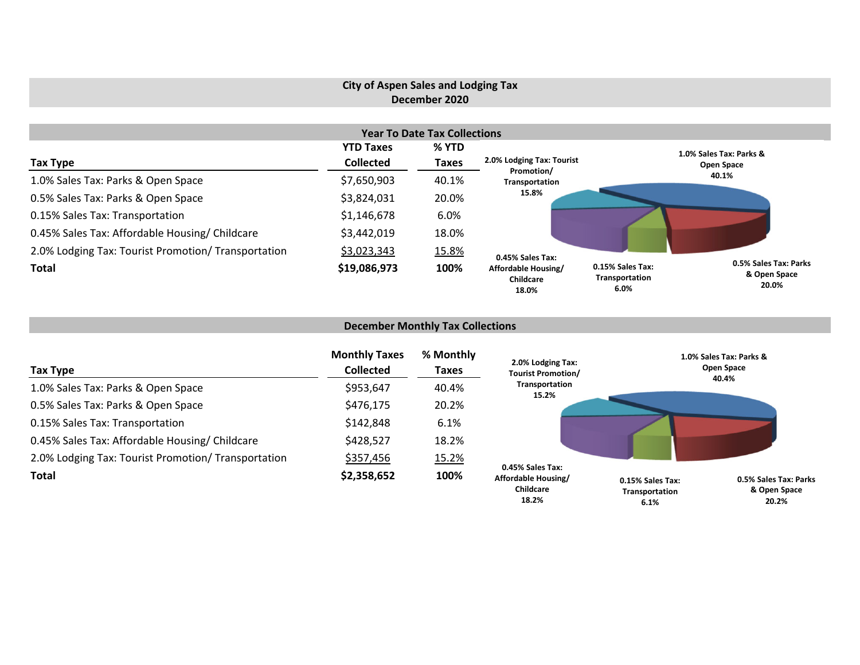# **City of Aspen Sales and Lodging Tax December 2020**

|                                                     |                  | <b>Year To Date Tax Collections</b> |                                           |                                                                                              |
|-----------------------------------------------------|------------------|-------------------------------------|-------------------------------------------|----------------------------------------------------------------------------------------------|
|                                                     | <b>YTD Taxes</b> | % YTD                               |                                           | 1.0% Sales Tax: Parks &                                                                      |
| Tax Type                                            | <b>Collected</b> | <b>Taxes</b>                        | 2.0% Lodging Tax: Tourist<br>Promotion/   | Open Space                                                                                   |
| 1.0% Sales Tax: Parks & Open Space                  | \$7,650,903      | 40.1%                               | Transportation                            | 40.1%                                                                                        |
| 0.5% Sales Tax: Parks & Open Space                  | \$3,824,031      | 20.0%                               | 15.8%                                     |                                                                                              |
| 0.15% Sales Tax: Transportation                     | \$1,146,678      | 6.0%                                |                                           |                                                                                              |
| 0.45% Sales Tax: Affordable Housing/ Childcare      | \$3,442,019      | 18.0%                               |                                           |                                                                                              |
| 2.0% Lodging Tax: Tourist Promotion/ Transportation | \$3,023,343      | 15.8%                               | 0.45% Sales Tax:                          |                                                                                              |
| <b>Total</b>                                        | \$19,086,973     | 100%                                | Affordable Housing/<br>Childcare<br>18.0% | 0.5% Sales Tax: Parks<br>0.15% Sales Tax:<br>& Open Space<br>Transportation<br>20.0%<br>6.0% |

### **December Monthly Tax Collections**

| Tax Type                                            | <b>Monthly Taxes</b><br><b>Collected</b> | % Monthly<br>Taxes | 2.0% Lodging Tax:<br><b>Tourist Promotion/</b>                       | 1.0% Sales Tax: Parks &<br>Open Space<br>40.4%                                               |
|-----------------------------------------------------|------------------------------------------|--------------------|----------------------------------------------------------------------|----------------------------------------------------------------------------------------------|
| 1.0% Sales Tax: Parks & Open Space                  | \$953,647                                | 40.4%              | Transportation<br>15.2%                                              |                                                                                              |
| 0.5% Sales Tax: Parks & Open Space                  | \$476,175                                | 20.2%              |                                                                      |                                                                                              |
| 0.15% Sales Tax: Transportation                     | \$142,848                                | 6.1%               |                                                                      |                                                                                              |
| 0.45% Sales Tax: Affordable Housing/ Childcare      | \$428,527                                | 18.2%              |                                                                      |                                                                                              |
| 2.0% Lodging Tax: Tourist Promotion/ Transportation | \$357,456                                | 15.2%              |                                                                      |                                                                                              |
| <b>Total</b>                                        | \$2,358,652                              | 100%               | 0.45% Sales Tax:<br>Affordable Housing/<br><b>Childcare</b><br>18.2% | 0.5% Sales Tax: Parks<br>0.15% Sales Tax:<br>& Open Space<br>Transportation<br>20.2%<br>6.1% |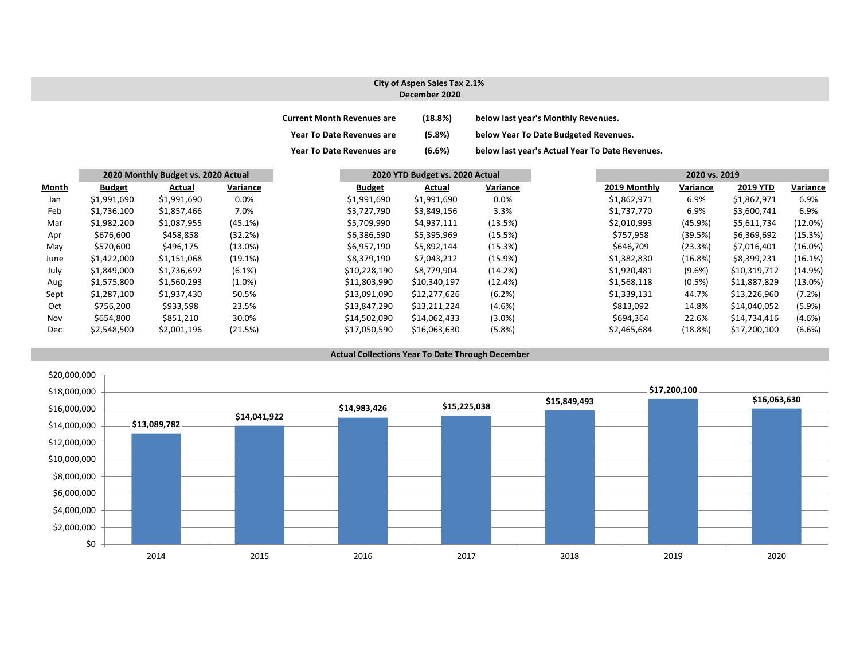#### **City of Aspen Sales Tax 2.1% December 2020**

| <b>Current Month Revenues are</b> | (18.8%) | below last year's Monthly Revenues.             |
|-----------------------------------|---------|-------------------------------------------------|
| <b>Year To Date Revenues are</b>  | (5.8%)  | below Year To Date Budgeted Revenues.           |
| <b>Year To Date Revenues are</b>  | (6.6%)  | below last year's Actual Year To Date Revenues. |

|       |               | 2020 Monthly Budget vs. 2020 Actual |            |               | 2020 YTD Budget vs. 2020 Actual |           |              | 2020 vs. 2019 |              |            |
|-------|---------------|-------------------------------------|------------|---------------|---------------------------------|-----------|--------------|---------------|--------------|------------|
| Month | <b>Budget</b> | Actual                              | Variance   | <b>Budget</b> | Actual                          | Variance  | 2019 Monthly | Variance      | 2019 YTD     | Variance   |
| Jan   | \$1,991,690   | \$1,991,690                         | 0.0%       | \$1,991,690   | \$1,991,690                     | 0.0%      | \$1,862,971  | 6.9%          | \$1,862,971  | 6.9%       |
| Feb   | \$1,736,100   | \$1,857,466                         | 7.0%       | \$3,727,790   | \$3,849,156                     | 3.3%      | \$1,737,770  | 6.9%          | \$3,600,741  | 6.9%       |
| Mar   | \$1,982,200   | \$1,087,955                         | (45.1%)    | \$5,709,990   | \$4,937,111                     | (13.5%)   | \$2,010,993  | (45.9%)       | \$5,611,734  | (12.0%)    |
| Apr   | \$676,600     | \$458,858                           | (32.2%)    | \$6,386,590   | \$5,395,969                     | (15.5%)   | \$757,958    | (39.5%)       | \$6,369,692  | (15.3%)    |
| May   | \$570,600     | \$496,175                           | $(13.0\%)$ | \$6,957,190   | \$5,892,144                     | (15.3%)   | \$646,709    | (23.3%)       | \$7,016,401  | $(16.0\%)$ |
| June  | \$1,422,000   | \$1,151,068                         | (19.1%)    | \$8,379,190   | \$7,043,212                     | (15.9%)   | \$1,382,830  | (16.8%)       | \$8,399,231  | (16.1%)    |
| July  | \$1,849,000   | \$1,736,692                         | $(6.1\%)$  | \$10,228,190  | \$8,779,904                     | (14.2%)   | \$1,920,481  | $(9.6\%)$     | \$10,319,712 | (14.9%)    |
| Aug   | \$1,575,800   | \$1,560,293                         | $(1.0\%)$  | \$11,803,990  | \$10,340,197                    | (12.4%)   | \$1,568,118  | $(0.5\%)$     | \$11,887,829 | $(13.0\%)$ |
| Sept  | \$1,287,100   | \$1,937,430                         | 50.5%      | \$13,091,090  | \$12,277,626                    | (6.2%)    | \$1,339,131  | 44.7%         | \$13,226,960 | (7.2%)     |
| Oct   | \$756,200     | \$933,598                           | 23.5%      | \$13,847,290  | \$13,211,224                    | $(4.6\%)$ | \$813,092    | 14.8%         | \$14,040,052 | (5.9%)     |
| Nov   | \$654,800     | \$851,210                           | 30.0%      | \$14,502,090  | \$14,062,433                    | $(3.0\%)$ | \$694,364    | 22.6%         | \$14,734,416 | $(4.6\%)$  |
| Dec   | \$2,548,500   | \$2,001,196                         | (21.5%)    | \$17,050,590  | \$16,063,630                    | (5.8%)    | \$2,465,684  | (18.8%)       | \$17,200,100 | (6.6%)     |

#### **Actual Collections Year To Date Through December**

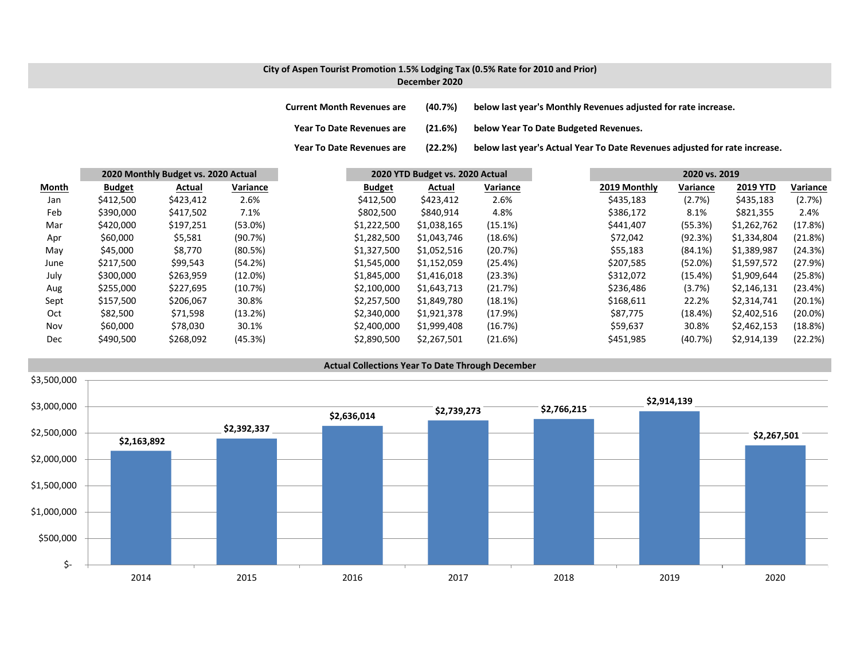### **City of Aspen Tourist Promotion 1.5% Lodging Tax (0.5% Rate for 2010 and Prior) December 2020**

**Year To**

**Current MonthRevenues are (40.7%) below last year's Monthly Revenues adjusted for rate increase.**

**Year ToDate Revenues are (21.6%) below Year To Date Budgeted Revenues.**

(22.2%) below last year's Actual Year To Date Revenues adjusted for rate increase.

|       |               | 2020 Monthly Budget vs. 2020 Actual |            |               | 2020 YTD Budget vs. 2020 Actual |          |              | 2020 vs. 2019 |                 |            |
|-------|---------------|-------------------------------------|------------|---------------|---------------------------------|----------|--------------|---------------|-----------------|------------|
| Month | <b>Budget</b> | Actual                              | Variance   | <b>Budget</b> | Actual                          | Variance | 2019 Monthly | Variance      | <b>2019 YTD</b> | Variance   |
| Jan   | \$412,500     | \$423,412                           | 2.6%       | \$412,500     | \$423,412                       | 2.6%     | \$435,183    | (2.7%)        | \$435,183       | (2.7%)     |
| Feb   | \$390,000     | \$417,502                           | 7.1%       | \$802,500     | \$840,914                       | 4.8%     | \$386,172    | 8.1%          | \$821,355       | 2.4%       |
| Mar   | \$420,000     | \$197,251                           | $(53.0\%)$ | \$1,222,500   | \$1,038,165                     | (15.1%)  | \$441,407    | (55.3%)       | \$1,262,762     | (17.8%)    |
| Apr   | \$60,000      | \$5,581                             | (90.7%)    | \$1,282,500   | \$1,043,746                     | (18.6%)  | \$72,042     | (92.3%)       | \$1,334,804     | (21.8%)    |
| May   | \$45,000      | \$8,770                             | (80.5%)    | \$1,327,500   | \$1,052,516                     | (20.7%)  | \$55,183     | (84.1%)       | \$1,389,987     | (24.3%)    |
| June  | \$217,500     | \$99,543                            | (54.2%)    | \$1,545,000   | \$1,152,059                     | (25.4%)  | \$207,585    | (52.0%)       | \$1,597,572     | (27.9%)    |
| July  | \$300,000     | \$263,959                           | $(12.0\%)$ | \$1,845,000   | \$1,416,018                     | (23.3%)  | \$312,072    | (15.4%)       | \$1,909,644     | (25.8%)    |
| Aug   | \$255,000     | \$227,695                           | (10.7%)    | \$2,100,000   | \$1,643,713                     | (21.7%)  | \$236,486    | (3.7%)        | \$2,146,131     | (23.4%)    |
| Sept  | \$157,500     | \$206,067                           | 30.8%      | \$2,257,500   | \$1,849,780                     | (18.1%)  | \$168,611    | 22.2%         | \$2,314,741     | (20.1%)    |
| Oct   | \$82,500      | \$71,598                            | (13.2%)    | \$2,340,000   | \$1,921,378                     | (17.9%)  | \$87,775     | (18.4%)       | \$2,402,516     | $(20.0\%)$ |
| Nov   | \$60,000      | \$78,030                            | 30.1%      | \$2,400,000   | \$1,999,408                     | (16.7%)  | \$59,637     | 30.8%         | \$2,462,153     | (18.8%)    |
| Dec   | \$490,500     | \$268,092                           | (45.3%)    | \$2,890,500   | \$2,267,501                     | (21.6%)  | \$451,985    | (40.7%)       | \$2,914,139     | (22.2%)    |

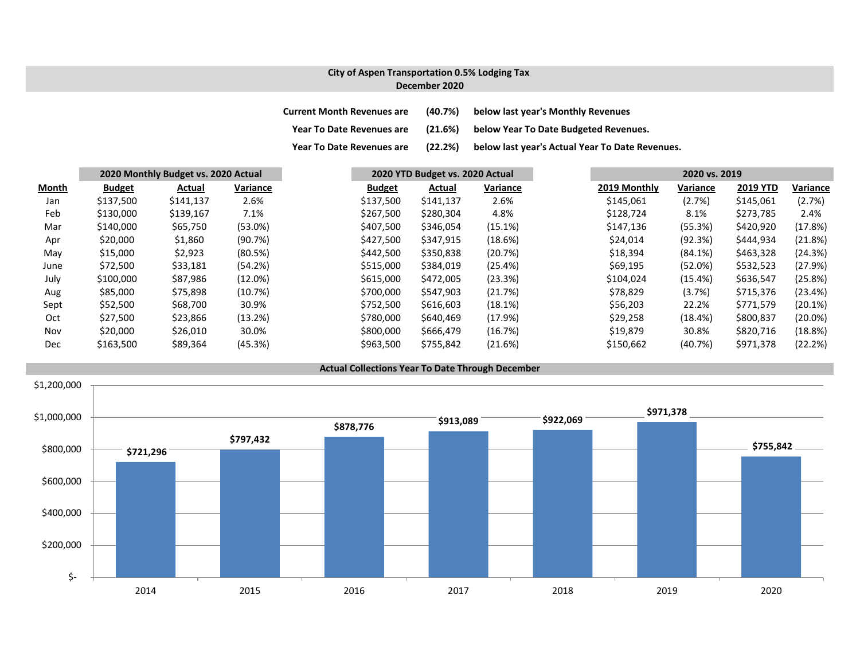### **City of Aspen Transportation 0.5% Lodging Tax December 2020**

**Current Month Revenues are (40.7%) below last year's Monthly Revenues Year ToDate Revenues are (21.6%) below Year To Date Budgeted Revenues.**

**Year ToDate Revenues are (22.2%) below last year's Actual Year To Date Revenues.**

|       | 2020 Monthly Budget vs. 2020 Actual |           |          | 2020 YTD Budget vs. 2020 Actual |           |          |  | 2020 vs. 2019 |          |                 |            |
|-------|-------------------------------------|-----------|----------|---------------------------------|-----------|----------|--|---------------|----------|-----------------|------------|
| Month | <b>Budget</b>                       | Actual    | Variance | <b>Budget</b>                   | Actual    | Variance |  | 2019 Monthly  | Variance | <b>2019 YTD</b> | Variance   |
| Jan   | \$137,500                           | \$141,137 | 2.6%     | \$137,500                       | \$141,137 | 2.6%     |  | \$145,061     | (2.7%)   | \$145,061       | (2.7%)     |
| Feb   | \$130,000                           | \$139,167 | 7.1%     | \$267,500                       | \$280,304 | 4.8%     |  | \$128,724     | 8.1%     | \$273,785       | 2.4%       |
| Mar   | \$140,000                           | \$65,750  | (53.0%)  | \$407,500                       | \$346,054 | (15.1%)  |  | \$147,136     | (55.3%)  | \$420,920       | (17.8%)    |
| Apr   | \$20,000                            | \$1,860   | (90.7%)  | \$427,500                       | \$347,915 | (18.6%)  |  | \$24,014      | (92.3%)  | \$444,934       | (21.8%)    |
| May   | \$15,000                            | \$2,923   | (80.5%)  | \$442,500                       | \$350,838 | (20.7%)  |  | \$18,394      | (84.1%)  | \$463,328       | (24.3%)    |
| June  | \$72,500                            | \$33,181  | (54.2%)  | \$515,000                       | \$384,019 | (25.4%)  |  | \$69,195      | (52.0%)  | \$532,523       | (27.9%)    |
| July  | \$100,000                           | \$87,986  | (12.0%)  | \$615,000                       | \$472,005 | (23.3%)  |  | \$104,024     | (15.4%)  | \$636,547       | (25.8%)    |
| Aug   | \$85,000                            | \$75,898  | (10.7%)  | \$700,000                       | \$547,903 | (21.7%)  |  | \$78,829      | (3.7%)   | \$715,376       | (23.4%)    |
| Sept  | \$52,500                            | \$68,700  | 30.9%    | \$752,500                       | \$616,603 | (18.1%)  |  | \$56,203      | 22.2%    | \$771,579       | (20.1%)    |
| Oct   | \$27,500                            | \$23,866  | (13.2%)  | \$780,000                       | \$640,469 | (17.9%)  |  | \$29,258      | (18.4%)  | \$800,837       | $(20.0\%)$ |
| Nov   | \$20,000                            | \$26,010  | 30.0%    | \$800,000                       | \$666,479 | (16.7%)  |  | \$19,879      | 30.8%    | \$820,716       | (18.8%)    |
| Dec   | \$163,500                           | \$89,364  | (45.3%)  | \$963,500                       | \$755,842 | (21.6%)  |  | \$150,662     | (40.7%)  | \$971,378       | (22.2%)    |

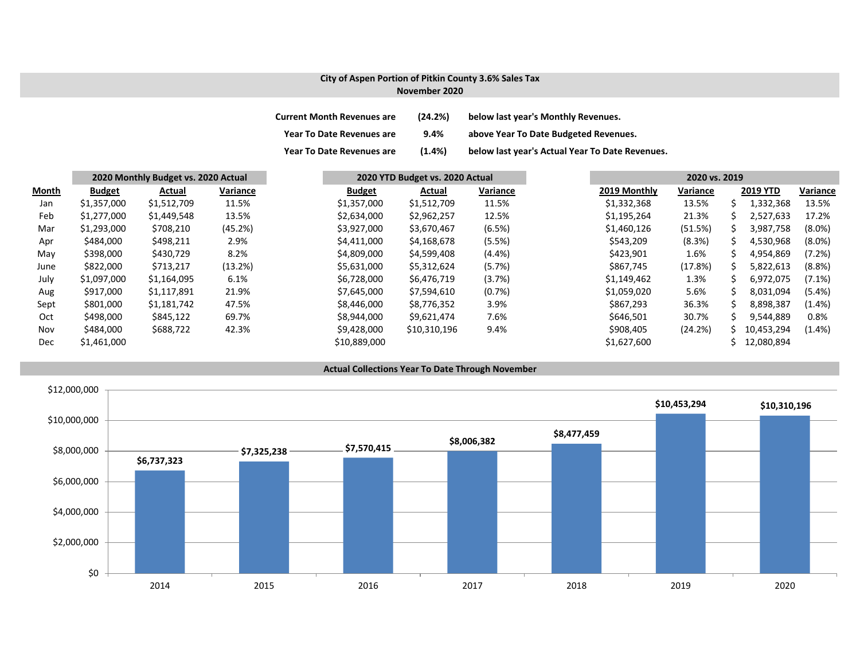### **City of Aspen Portion of Pitkin County 3.6% Sales Tax November 2020**

| <b>Current Month Revenues are</b> | (24.2%)   | below last year's Monthly Revenues.             |
|-----------------------------------|-----------|-------------------------------------------------|
| <b>Year To Date Revenues are</b>  | 9.4%      | above Year To Date Budgeted Revenues.           |
| <b>Year To Date Revenues are</b>  | $(1.4\%)$ | below last year's Actual Year To Date Revenues. |

|       |               | 2020 Monthly Budget vs. 2020 Actual |          |               | 2020 YTD Budget vs. 2020 Actual |           | 2020 vs. 2019 |              |          |    |                 |           |
|-------|---------------|-------------------------------------|----------|---------------|---------------------------------|-----------|---------------|--------------|----------|----|-----------------|-----------|
| Month | <b>Budget</b> | Actual                              | Variance | <b>Budget</b> | Actual                          | Variance  |               | 2019 Monthly | Variance |    | <b>2019 YTD</b> | Variance  |
| Jan   | \$1,357,000   | \$1,512,709                         | 11.5%    | \$1,357,000   | \$1,512,709                     | 11.5%     |               | \$1,332,368  | 13.5%    |    | 1,332,368       | 13.5%     |
| Feb   | \$1,277,000   | \$1,449,548                         | 13.5%    | \$2,634,000   | \$2,962,257                     | 12.5%     |               | \$1,195,264  | 21.3%    | ς  | 2,527,633       | 17.2%     |
| Mar   | \$1,293,000   | \$708,210                           | (45.2%)  | \$3,927,000   | \$3,670,467                     | (6.5%)    |               | \$1,460,126  | (51.5%)  |    | 3,987,758       | $(8.0\%)$ |
| Apr   | \$484,000     | \$498,211                           | 2.9%     | \$4,411,000   | \$4,168,678                     | (5.5%)    |               | \$543,209    | (8.3%)   | S. | 4,530,968       | $(8.0\%)$ |
| May   | \$398,000     | \$430,729                           | 8.2%     | \$4,809,000   | \$4,599,408                     | $(4.4\%)$ |               | \$423,901    | 1.6%     | S  | 4,954,869       | (7.2%)    |
| June  | \$822,000     | \$713,217                           | (13.2%)  | \$5,631,000   | \$5,312,624                     | (5.7%)    |               | \$867,745    | (17.8%)  | S  | 5,822,613       | (8.8%)    |
| July  | \$1,097,000   | \$1,164,095                         | 6.1%     | \$6,728,000   | \$6,476,719                     | (3.7%)    |               | \$1,149,462  | 1.3%     |    | 6,972,075       | $(7.1\%)$ |
| Aug   | \$917,000     | \$1,117,891                         | 21.9%    | \$7,645,000   | \$7,594,610                     | (0.7%)    |               | \$1,059,020  | 5.6%     |    | 8,031,094       | $(5.4\%)$ |
| Sept  | \$801,000     | \$1,181,742                         | 47.5%    | \$8,446,000   | \$8,776,352                     | 3.9%      |               | \$867,293    | 36.3%    | ς  | 8,898,387       | $(1.4\%)$ |
| Oct   | \$498,000     | \$845,122                           | 69.7%    | \$8,944,000   | \$9,621,474                     | 7.6%      |               | \$646,501    | 30.7%    |    | 9,544,889       | 0.8%      |
| Nov   | \$484,000     | \$688,722                           | 42.3%    | \$9,428,000   | \$10,310,196                    | 9.4%      |               | \$908,405    | (24.2%)  | S. | 10,453,294      | $(1.4\%)$ |
| Dec   | \$1,461,000   |                                     |          | \$10,889,000  |                                 |           |               | \$1,627,600  |          |    | 12,080,894      |           |

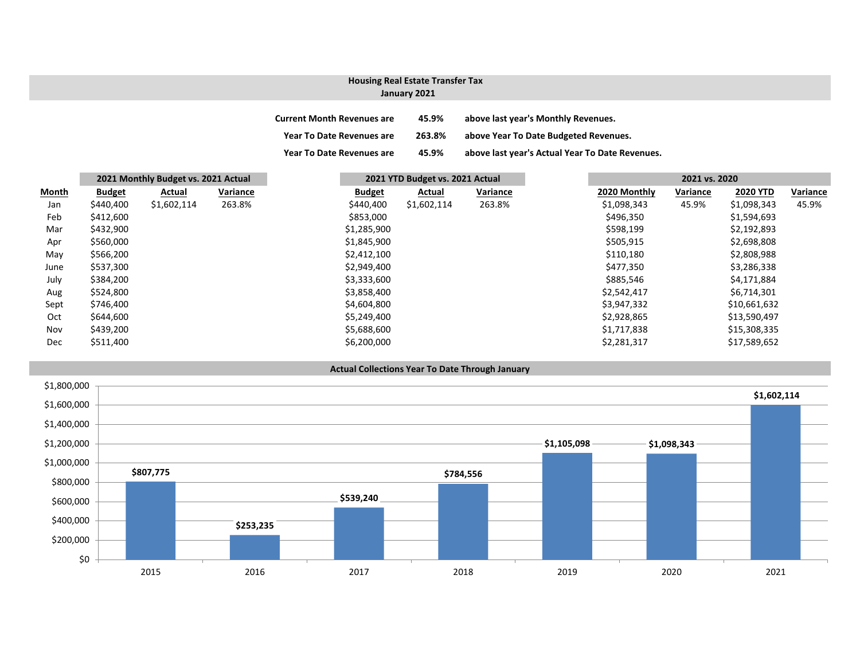### **January 2021 Housing Real Estate Transfer Tax**

| <b>Current Month Revenues are</b> | 45.9%  | above last year's Monthly Revenues.             |
|-----------------------------------|--------|-------------------------------------------------|
| Year To Date Revenues are         | 263.8% | above Year To Date Budgeted Revenues.           |
| <b>Year To Date Revenues are</b>  | 45.9%  | above last year's Actual Year To Date Revenues. |

|       | 2021 Monthly Budget vs. 2021 Actual |             | 2021 YTD Budget vs. 2021 Actual |  |               | 2021 vs. 2020 |          |              |          |                 |          |
|-------|-------------------------------------|-------------|---------------------------------|--|---------------|---------------|----------|--------------|----------|-----------------|----------|
| Month | <b>Budget</b>                       | Actual      | Variance                        |  | <b>Budget</b> | Actual        | Variance | 2020 Monthly | Variance | <b>2020 YTD</b> | Variance |
| Jan   | \$440,400                           | \$1,602,114 | 263.8%                          |  | \$440,400     | \$1,602,114   | 263.8%   | \$1,098,343  | 45.9%    | \$1,098,343     | 45.9%    |
| Feb   | \$412,600                           |             |                                 |  | \$853,000     |               |          | \$496,350    |          | \$1,594,693     |          |
| Mar   | \$432,900                           |             |                                 |  | \$1,285,900   |               |          | \$598,199    |          | \$2,192,893     |          |
| Apr   | \$560,000                           |             |                                 |  | \$1,845,900   |               |          | \$505,915    |          | \$2,698,808     |          |
| May   | \$566,200                           |             |                                 |  | \$2,412,100   |               |          | \$110,180    |          | \$2,808,988     |          |
| June  | \$537,300                           |             |                                 |  | \$2,949,400   |               |          | \$477,350    |          | \$3,286,338     |          |
| July  | \$384,200                           |             |                                 |  | \$3,333,600   |               |          | \$885,546    |          | \$4,171,884     |          |
| Aug   | \$524,800                           |             |                                 |  | \$3,858,400   |               |          | \$2,542,417  |          | \$6,714,301     |          |
| Sept  | \$746,400                           |             |                                 |  | \$4,604,800   |               |          | \$3,947,332  |          | \$10,661,632    |          |
| Oct   | \$644,600                           |             |                                 |  | \$5,249,400   |               |          | \$2,928,865  |          | \$13,590,497    |          |
| Nov   | \$439,200                           |             |                                 |  | \$5,688,600   |               |          | \$1,717,838  |          | \$15,308,335    |          |
| Dec   | \$511,400                           |             |                                 |  | \$6,200,000   |               |          | \$2,281,317  |          | \$17,589,652    |          |